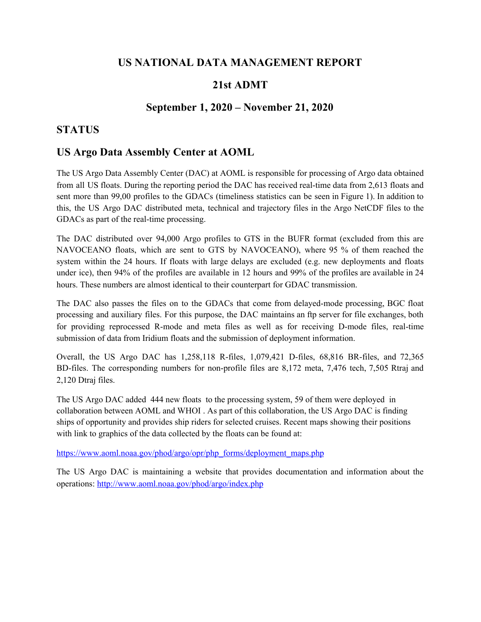## **US NATIONAL DATA MANAGEMENT REPORT**

## **21st ADMT**

## **September 1, 2020 – November 21, 2020**

### **STATUS**

## **US Argo Data Assembly Center at AOML**

The US Argo Data Assembly Center (DAC) at AOML is responsible for processing of Argo data obtained from all US floats. During the reporting period the DAC has received real-time data from 2,613 floats and sent more than 99,00 profiles to the GDACs (timeliness statistics can be seen in Figure 1). In addition to this, the US Argo DAC distributed meta, technical and trajectory files in the Argo NetCDF files to the GDACs as part of the real-time processing.

The DAC distributed over 94,000 Argo profiles to GTS in the BUFR format (excluded from this are NAVOCEANO floats, which are sent to GTS by NAVOCEANO), where 95 % of them reached the system within the 24 hours. If floats with large delays are excluded (e.g. new deployments and floats under ice), then 94% of the profiles are available in 12 hours and 99% of the profiles are available in 24 hours. These numbers are almost identical to their counterpart for GDAC transmission.

The DAC also passes the files on to the GDACs that come from delayed-mode processing, BGC float processing and auxiliary files. For this purpose, the DAC maintains an ftp server for file exchanges, both for providing reprocessed R-mode and meta files as well as for receiving D-mode files, real-time submission of data from Iridium floats and the submission of deployment information.

Overall, the US Argo DAC has 1,258,118 R-files, 1,079,421 D-files, 68,816 BR-files, and 72,365 BD-files. The corresponding numbers for non-profile files are 8,172 meta, 7,476 tech, 7,505 Rtraj and 2,120 Dtraj files.

The US Argo DAC added 444 new floats to the processing system, 59 of them were deployed in collaboration between AOML and WHOI . As part of this collaboration, the US Argo DAC is finding ships of opportunity and provides ship riders for selected cruises. Recent maps showing their positions with link to graphics of the data collected by the floats can be found at:

[https://www.aoml.noaa.gov/phod/argo/opr/php\\_forms/deployment\\_maps.php](https://www.aoml.noaa.gov/phod/argo/opr/php_forms/deployment_maps.php)

The US Argo DAC is maintaining a website that provides documentation and information about the operations: <http://www.aoml.noaa.gov/phod/argo/index.php>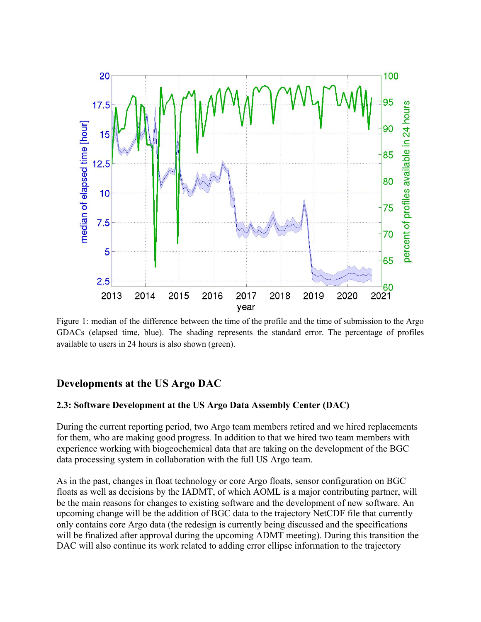

Figure 1: median of the difference between the time of the profile and the time of submission to the Argo GDACs (elapsed time, blue). The shading represents the standard error. The percentage of profiles available to users in 24 hours is also shown (green).

# **Developments at the US Argo DAC**

#### **2.3: Software Development at the US Argo Data Assembly Center (DAC)**

During the current reporting period, two Argo team members retired and we hired replacements for them, who are making good progress. In addition to that we hired two team members with experience working with biogeochemical data that are taking on the development of the BGC data processing system in collaboration with the full US Argo team.

As in the past, changes in float technology or core Argo floats, sensor configuration on BGC floats as well as decisions by the IADMT, of which AOML is a major contributing partner, will be the main reasons for changes to existing software and the development of new software. An upcoming change will be the addition of BGC data to the trajectory NetCDF file that currently only contains core Argo data (the redesign is currently being discussed and the specifications will be finalized after approval during the upcoming ADMT meeting). During this transition the DAC will also continue its work related to adding error ellipse information to the trajectory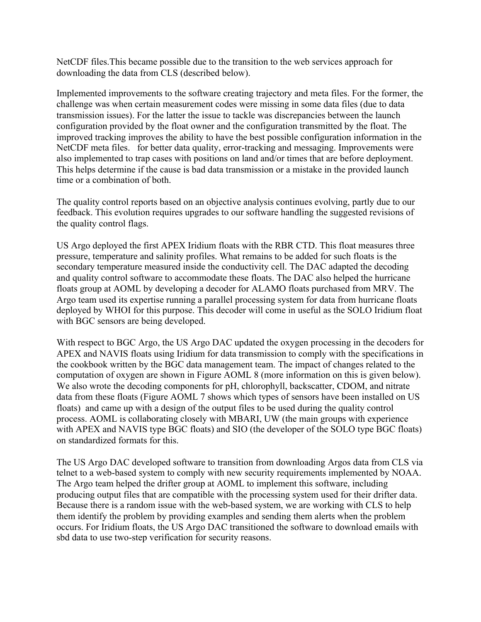NetCDF files.This became possible due to the transition to the web services approach for downloading the data from CLS (described below).

Implemented improvements to the software creating trajectory and meta files. For the former, the challenge was when certain measurement codes were missing in some data files (due to data transmission issues). For the latter the issue to tackle was discrepancies between the launch configuration provided by the float owner and the configuration transmitted by the float. The improved tracking improves the ability to have the best possible configuration information in the NetCDF meta files. for better data quality, error-tracking and messaging. Improvements were also implemented to trap cases with positions on land and/or times that are before deployment. This helps determine if the cause is bad data transmission or a mistake in the provided launch time or a combination of both.

The quality control reports based on an objective analysis continues evolving, partly due to our feedback. This evolution requires upgrades to our software handling the suggested revisions of the quality control flags.

US Argo deployed the first APEX Iridium floats with the RBR CTD. This float measures three pressure, temperature and salinity profiles. What remains to be added for such floats is the secondary temperature measured inside the conductivity cell. The DAC adapted the decoding and quality control software to accommodate these floats. The DAC also helped the hurricane floats group at AOML by developing a decoder for ALAMO floats purchased from MRV. The Argo team used its expertise running a parallel processing system for data from hurricane floats deployed by WHOI for this purpose. This decoder will come in useful as the SOLO Iridium float with BGC sensors are being developed.

With respect to BGC Argo, the US Argo DAC updated the oxygen processing in the decoders for APEX and NAVIS floats using Iridium for data transmission to comply with the specifications in the cookbook written by the BGC data management team. The impact of changes related to the computation of oxygen are shown in Figure AOML 8 (more information on this is given below). We also wrote the decoding components for pH, chlorophyll, backscatter, CDOM, and nitrate data from these floats (Figure AOML 7 shows which types of sensors have been installed on US floats) and came up with a design of the output files to be used during the quality control process. AOML is collaborating closely with MBARI, UW (the main groups with experience with APEX and NAVIS type BGC floats) and SIO (the developer of the SOLO type BGC floats) on standardized formats for this.

The US Argo DAC developed software to transition from downloading Argos data from CLS via telnet to a web-based system to comply with new security requirements implemented by NOAA. The Argo team helped the drifter group at AOML to implement this software, including producing output files that are compatible with the processing system used for their drifter data. Because there is a random issue with the web-based system, we are working with CLS to help them identify the problem by providing examples and sending them alerts when the problem occurs. For Iridium floats, the US Argo DAC transitioned the software to download emails with sbd data to use two-step verification for security reasons.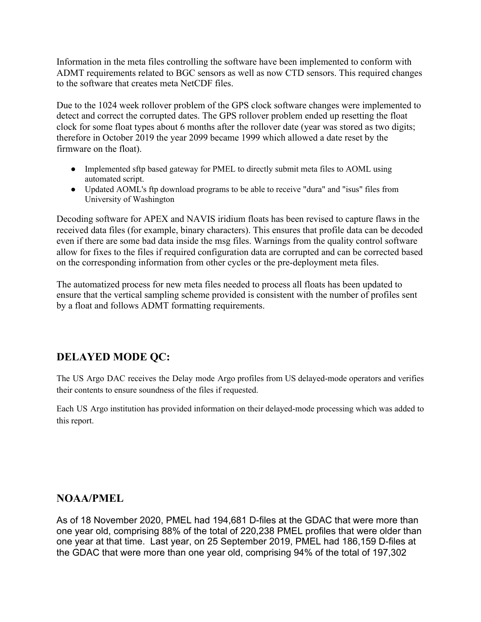Information in the meta files controlling the software have been implemented to conform with ADMT requirements related to BGC sensors as well as now CTD sensors. This required changes to the software that creates meta NetCDF files.

Due to the 1024 week rollover problem of the GPS clock software changes were implemented to detect and correct the corrupted dates. The GPS rollover problem ended up resetting the float clock for some float types about 6 months after the rollover date (year was stored as two digits; therefore in October 2019 the year 2099 became 1999 which allowed a date reset by the firmware on the float).

- Implemented sftp based gateway for PMEL to directly submit meta files to AOML using automated script.
- Updated AOML's ftp download programs to be able to receive "dura" and "isus" files from University of Washington

Decoding software for APEX and NAVIS iridium floats has been revised to capture flaws in the received data files (for example, binary characters). This ensures that profile data can be decoded even if there are some bad data inside the msg files. Warnings from the quality control software allow for fixes to the files if required configuration data are corrupted and can be corrected based on the corresponding information from other cycles or the pre-deployment meta files.

The automatized process for new meta files needed to process all floats has been updated to ensure that the vertical sampling scheme provided is consistent with the number of profiles sent by a float and follows ADMT formatting requirements.

# **DELAYED MODE QC:**

The US Argo DAC receives the Delay mode Argo profiles from US delayed-mode operators and verifies their contents to ensure soundness of the files if requested.

Each US Argo institution has provided information on their delayed-mode processing which was added to this report.

# **NOAA/PMEL**

As of 18 November 2020, PMEL had 194,681 D-files at the GDAC that were more than one year old, comprising 88% of the total of 220,238 PMEL profiles that were older than one year at that time. Last year, on 25 September 2019, PMEL had 186,159 D-files at the GDAC that were more than one year old, comprising 94% of the total of 197,302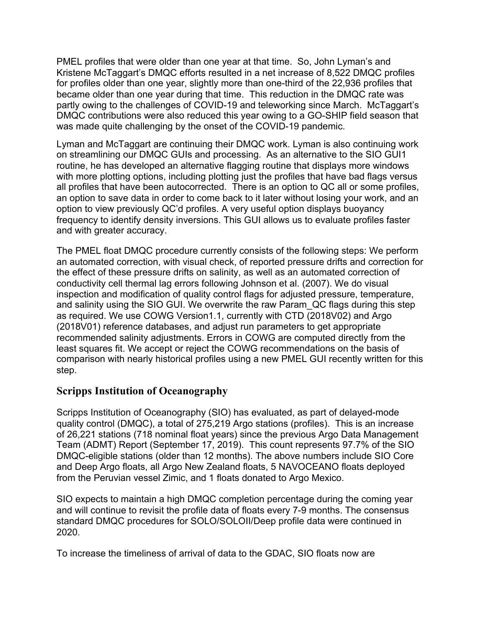PMEL profiles that were older than one year at that time. So, John Lyman's and Kristene McTaggart's DMQC efforts resulted in a net increase of 8,522 DMQC profiles for profiles older than one year, slightly more than one-third of the 22,936 profiles that became older than one year during that time. This reduction in the DMQC rate was partly owing to the challenges of COVID-19 and teleworking since March. McTaggart's DMQC contributions were also reduced this year owing to a GO-SHIP field season that was made quite challenging by the onset of the COVID-19 pandemic.

Lyman and McTaggart are continuing their DMQC work. Lyman is also continuing work on streamlining our DMQC GUIs and processing. As an alternative to the SIO GUI1 routine, he has developed an alternative flagging routine that displays more windows with more plotting options, including plotting just the profiles that have bad flags versus all profiles that have been autocorrected. There is an option to QC all or some profiles, an option to save data in order to come back to it later without losing your work, and an option to view previously QC'd profiles. A very useful option displays buoyancy frequency to identify density inversions. This GUI allows us to evaluate profiles faster and with greater accuracy.

The PMEL float DMQC procedure currently consists of the following steps: We perform an automated correction, with visual check, of reported pressure drifts and correction for the effect of these pressure drifts on salinity, as well as an automated correction of conductivity cell thermal lag errors following Johnson et al. (2007). We do visual inspection and modification of quality control flags for adjusted pressure, temperature, and salinity using the SIO GUI. We overwrite the raw Param\_QC flags during this step as required. We use COWG Version1.1, currently with CTD (2018V02) and Argo (2018V01) reference databases, and adjust run parameters to get appropriate recommended salinity adjustments. Errors in COWG are computed directly from the least squares fit. We accept or reject the COWG recommendations on the basis of comparison with nearly historical profiles using a new PMEL GUI recently written for this step.

### **Scripps Institution of Oceanography**

Scripps Institution of Oceanography (SIO) has evaluated, as part of delayed-mode quality control (DMQC), a total of 275,219 Argo stations (profiles). This is an increase of 26,221 stations (718 nominal float years) since the previous Argo Data Management Team (ADMT) Report (September 17, 2019). This count represents 97.7% of the SIO DMQC-eligible stations (older than 12 months). The above numbers include SIO Core and Deep Argo floats, all Argo New Zealand floats, 5 NAVOCEANO floats deployed from the Peruvian vessel Zimic, and 1 floats donated to Argo Mexico.

SIO expects to maintain a high DMQC completion percentage during the coming year and will continue to revisit the profile data of floats every 7-9 months. The consensus standard DMQC procedures for SOLO/SOLOII/Deep profile data were continued in 2020.

To increase the timeliness of arrival of data to the GDAC, SIO floats now are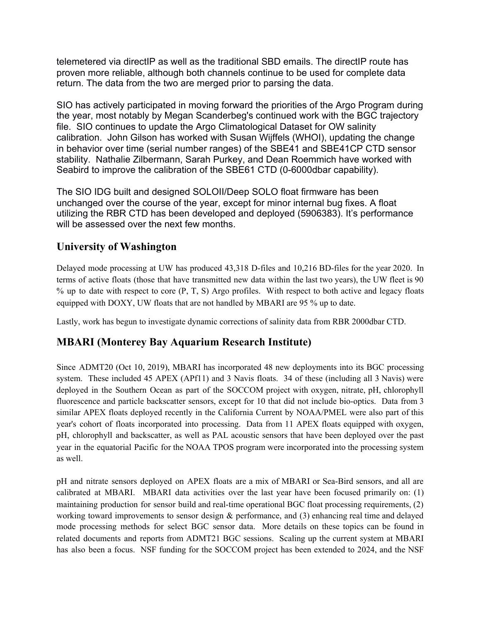telemetered via directIP as well as the traditional SBD emails. The directIP route has proven more reliable, although both channels continue to be used for complete data return. The data from the two are merged prior to parsing the data.

SIO has actively participated in moving forward the priorities of the Argo Program during the year, most notably by Megan Scanderbeg's continued work with the BGC trajectory file. SIO continues to update the Argo Climatological Dataset for OW salinity calibration. John Gilson has worked with Susan Wijffels (WHOI), updating the change in behavior over time (serial number ranges) of the SBE41 and SBE41CP CTD sensor stability. Nathalie Zilbermann, Sarah Purkey, and Dean Roemmich have worked with Seabird to improve the calibration of the SBE61 CTD (0-6000dbar capability).

The SIO IDG built and designed SOLOII/Deep SOLO float firmware has been unchanged over the course of the year, except for minor internal bug fixes. A float utilizing the RBR CTD has been developed and deployed (5906383). It's performance will be assessed over the next few months.

## **University of Washington**

Delayed mode processing at UW has produced 43,318 D-files and 10,216 BD-files for the year 2020. In terms of active floats (those that have transmitted new data within the last two years), the UW fleet is 90 % up to date with respect to core (P, T, S) Argo profiles. With respect to both active and legacy floats equipped with DOXY, UW floats that are not handled by MBARI are 95 % up to date.

Lastly, work has begun to investigate dynamic corrections of salinity data from RBR 2000dbar CTD.

# **MBARI (Monterey Bay Aquarium Research Institute)**

Since ADMT20 (Oct 10, 2019), MBARI has incorporated 48 new deployments into its BGC processing system. These included 45 APEX (APf11) and 3 Navis floats. 34 of these (including all 3 Navis) were deployed in the Southern Ocean as part of the SOCCOM project with oxygen, nitrate, pH, chlorophyll fluorescence and particle backscatter sensors, except for 10 that did not include bio-optics. Data from 3 similar APEX floats deployed recently in the California Current by NOAA/PMEL were also part of this year's cohort of floats incorporated into processing. Data from 11 APEX floats equipped with oxygen, pH, chlorophyll and backscatter, as well as PAL acoustic sensors that have been deployed over the past year in the equatorial Pacific for the NOAA TPOS program were incorporated into the processing system as well.

pH and nitrate sensors deployed on APEX floats are a mix of MBARI or Sea-Bird sensors, and all are calibrated at MBARI. MBARI data activities over the last year have been focused primarily on: (1) maintaining production for sensor build and real-time operational BGC float processing requirements, (2) working toward improvements to sensor design  $\&$  performance, and (3) enhancing real time and delayed mode processing methods for select BGC sensor data. More details on these topics can be found in related documents and reports from ADMT21 BGC sessions. Scaling up the current system at MBARI has also been a focus. NSF funding for the SOCCOM project has been extended to 2024, and the NSF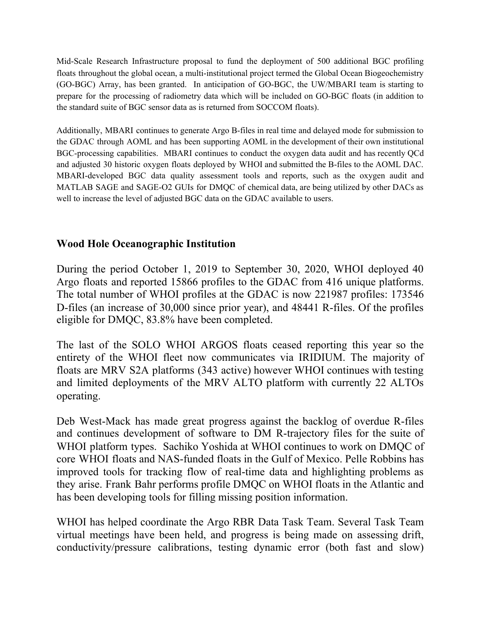Mid-Scale Research Infrastructure proposal to fund the deployment of 500 additional BGC profiling floats throughout the global ocean, a multi-institutional project termed the Global Ocean Biogeochemistry (GO-BGC) Array, has been granted. In anticipation of GO-BGC, the UW/MBARI team is starting to prepare for the processing of radiometry data which will be included on GO-BGC floats (in addition to the standard suite of BGC sensor data as is returned from SOCCOM floats).

Additionally, MBARI continues to generate Argo B-files in real time and delayed mode for submission to the GDAC through AOML and has been supporting AOML in the development of their own institutional BGC-processing capabilities. MBARI continues to conduct the oxygen data audit and has recently QCd and adjusted 30 historic oxygen floats deployed by WHOI and submitted the B-files to the AOML DAC. MBARI-developed BGC data quality assessment tools and reports, such as the oxygen audit and MATLAB SAGE and SAGE-O2 GUIs for DMQC of chemical data, are being utilized by other DACs as well to increase the level of adjusted BGC data on the GDAC available to users.

# **Wood Hole Oceanographic Institution**

During the period October 1, 2019 to September 30, 2020, WHOI deployed 40 Argo floats and reported 15866 profiles to the GDAC from 416 unique platforms. The total number of WHOI profiles at the GDAC is now 221987 profiles: 173546 D-files (an increase of 30,000 since prior year), and 48441 R-files. Of the profiles eligible for DMQC, 83.8% have been completed.

The last of the SOLO WHOI ARGOS floats ceased reporting this year so the entirety of the WHOI fleet now communicates via IRIDIUM. The majority of floats are MRV S2A platforms (343 active) however WHOI continues with testing and limited deployments of the MRV ALTO platform with currently 22 ALTOs operating.

Deb West-Mack has made great progress against the backlog of overdue R-files and continues development of software to DM R-trajectory files for the suite of WHOI platform types. Sachiko Yoshida at WHOI continues to work on DMQC of core WHOI floats and NAS-funded floats in the Gulf of Mexico. Pelle Robbins has improved tools for tracking flow of real-time data and highlighting problems as they arise. Frank Bahr performs profile DMQC on WHOI floats in the Atlantic and has been developing tools for filling missing position information.

WHOI has helped coordinate the Argo RBR Data Task Team. Several Task Team virtual meetings have been held, and progress is being made on assessing drift, conductivity/pressure calibrations, testing dynamic error (both fast and slow)